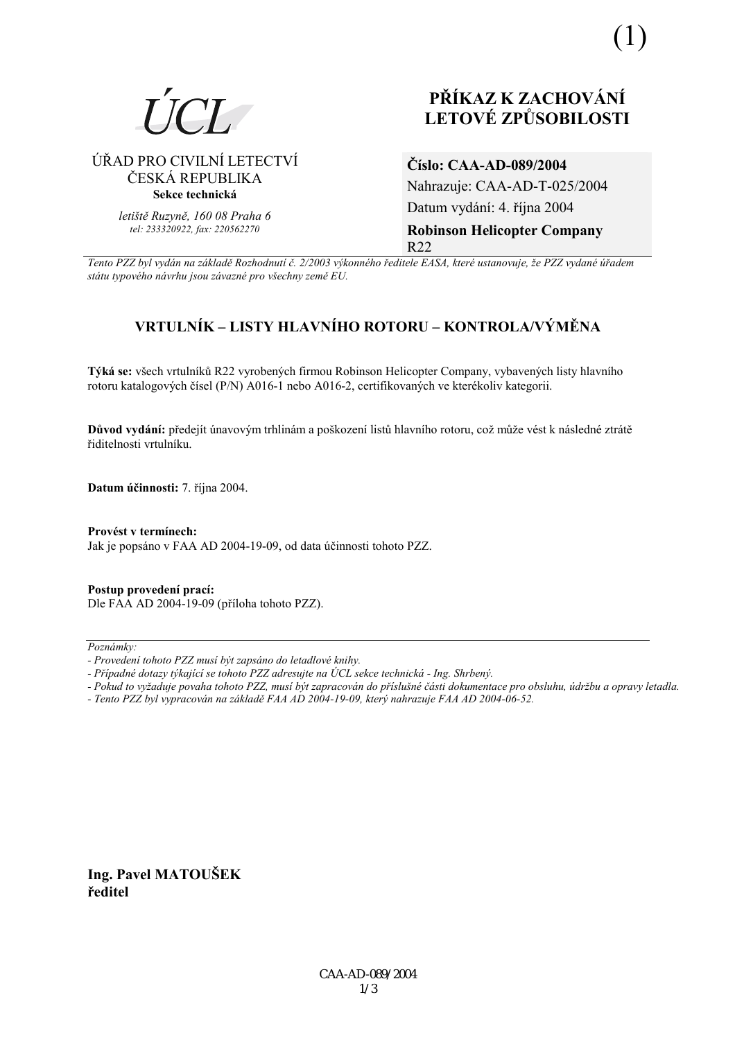

## ⁄ŘAD PRO CIVILNÕ LETECTVÕ ČESKÁ REPUBLIKA **Sekce technická**

*letiötě Ruzyně, 160 08 Praha 6 tel: 233320922, fax: 220562270*

# **PŘÍKAZ K ZACHOVÁNÍ LETOV… ZPŮSOBILOSTI**

**ČÌslo: CAA-AD-089/2004**  Nahrazuje: CAA-AD-T-025/2004 Datum vydání: 4. října 2004 **Robinson Helicopter Company**  R22

*Tento PZZ byl vyd·n na z·kladě RozhodnutÌ č. 2/2003 v˝konnÈho ředitele EASA, kterÈ ustanovuje, ûe PZZ vydanÈ ˙řadem st·tu typovÈho n·vrhu jsou z·vaznÈ pro vöechny země EU.*

## **VRTULNÕK ñ LISTY HLAVNÕHO ROTORU ñ KONTROLA/V›MĚNA**

**Týká se:** všech vrtulníků R22 vyrobených firmou Robinson Helicopter Company, vybavených listy hlavního rotoru katalogových čísel (P/N) A016-1 nebo A016-2, certifikovaných ve kterékoliv kategorii.

Důvod vydání: předejít únavovým trhlinám a poškození listů hlavního rotoru, což může vést k následné ztrátě řiditelnosti vrtulníku.

**Datum ˙činnosti:** 7. řÌjna 2004.

#### Provést v termínech:

Jak je popsáno v FAA AD 2004-19-09, od data účinnosti tohoto PZZ.

**Postup provedenÌ pracÌ:**  Dle FAA AD 2004-19-09 (přÌloha tohoto PZZ).

Poznámky:

*- Tento PZZ byl vypracov·n na z·kladě FAA AD 2004-19-09, kter˝ nahrazuje FAA AD 2004-06-52.* 

**Ing. Pavel MATOUäEK ředitel** 

*<sup>-</sup> ProvedenÌ tohoto PZZ musÌ b˝t zaps·no do letadlovÈ knihy.* 

*<sup>-</sup> PřÌpadnÈ dotazy t˝kajÌcÌ se tohoto PZZ adresujte na ⁄CL sekce technick· - Ing. Shrben˝.* 

*<sup>-</sup> Pokud to vyûaduje povaha tohoto PZZ, musÌ b˝t zapracov·n do přÌsluönÈ č·sti dokumentace pro obsluhu, ˙drûbu a opravy letadla.*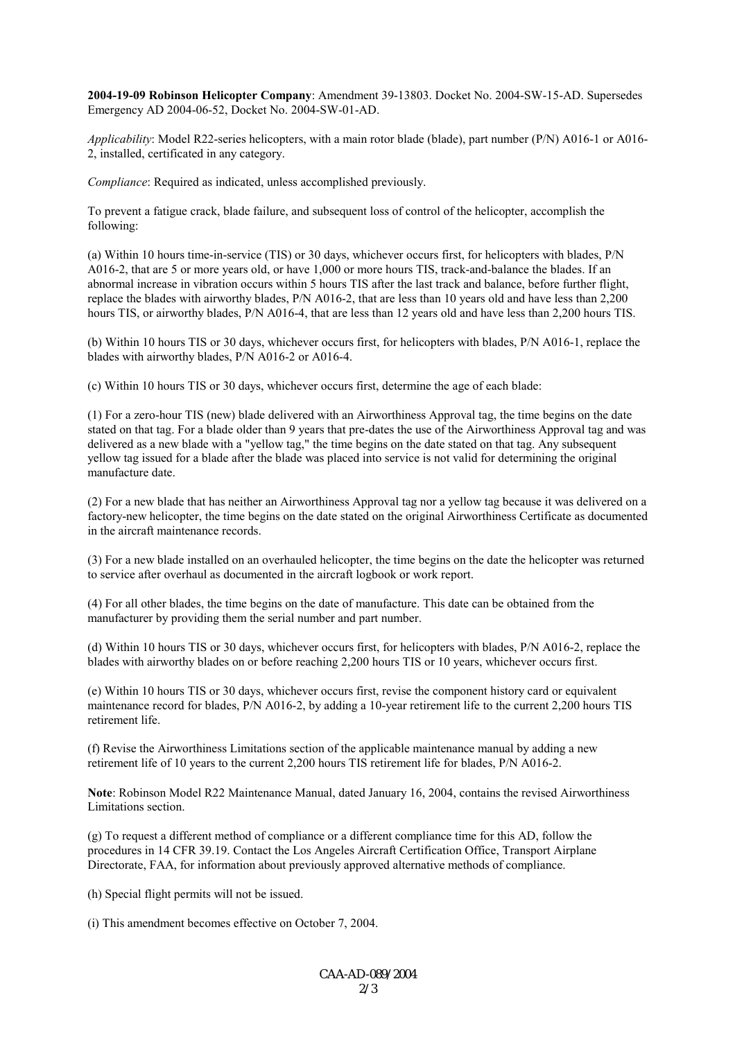**2004-19-09 Robinson Helicopter Company**: Amendment 39-13803. Docket No. 2004-SW-15-AD. Supersedes Emergency AD 2004-06-52, Docket No. 2004-SW-01-AD.

*Applicability*: Model R22-series helicopters, with a main rotor blade (blade), part number (P/N) A016-1 or A016- 2, installed, certificated in any category.

*Compliance*: Required as indicated, unless accomplished previously.

To prevent a fatigue crack, blade failure, and subsequent loss of control of the helicopter, accomplish the following:

(a) Within 10 hours time-in-service (TIS) or 30 days, whichever occurs first, for helicopters with blades, P/N A016-2, that are 5 or more years old, or have 1,000 or more hours TIS, track-and-balance the blades. If an abnormal increase in vibration occurs within 5 hours TIS after the last track and balance, before further flight, replace the blades with airworthy blades, P/N A016-2, that are less than 10 years old and have less than 2,200 hours TIS, or airworthy blades, P/N A016-4, that are less than 12 years old and have less than 2,200 hours TIS.

(b) Within 10 hours TIS or 30 days, whichever occurs first, for helicopters with blades, P/N A016-1, replace the blades with airworthy blades, P/N A016-2 or A016-4.

(c) Within 10 hours TIS or 30 days, whichever occurs first, determine the age of each blade:

(1) For a zero-hour TIS (new) blade delivered with an Airworthiness Approval tag, the time begins on the date stated on that tag. For a blade older than 9 years that pre-dates the use of the Airworthiness Approval tag and was delivered as a new blade with a "yellow tag," the time begins on the date stated on that tag. Any subsequent yellow tag issued for a blade after the blade was placed into service is not valid for determining the original manufacture date.

(2) For a new blade that has neither an Airworthiness Approval tag nor a yellow tag because it was delivered on a factory-new helicopter, the time begins on the date stated on the original Airworthiness Certificate as documented in the aircraft maintenance records.

(3) For a new blade installed on an overhauled helicopter, the time begins on the date the helicopter was returned to service after overhaul as documented in the aircraft logbook or work report.

(4) For all other blades, the time begins on the date of manufacture. This date can be obtained from the manufacturer by providing them the serial number and part number.

(d) Within 10 hours TIS or 30 days, whichever occurs first, for helicopters with blades, P/N A016-2, replace the blades with airworthy blades on or before reaching 2,200 hours TIS or 10 years, whichever occurs first.

(e) Within 10 hours TIS or 30 days, whichever occurs first, revise the component history card or equivalent maintenance record for blades, P/N A016-2, by adding a 10-year retirement life to the current 2,200 hours TIS retirement life.

(f) Revise the Airworthiness Limitations section of the applicable maintenance manual by adding a new retirement life of 10 years to the current 2,200 hours TIS retirement life for blades, P/N A016-2.

**Note**: Robinson Model R22 Maintenance Manual, dated January 16, 2004, contains the revised Airworthiness Limitations section.

(g) To request a different method of compliance or a different compliance time for this AD, follow the procedures in 14 CFR 39.19. Contact the Los Angeles Aircraft Certification Office, Transport Airplane Directorate, FAA, for information about previously approved alternative methods of compliance.

(h) Special flight permits will not be issued.

(i) This amendment becomes effective on October 7, 2004.